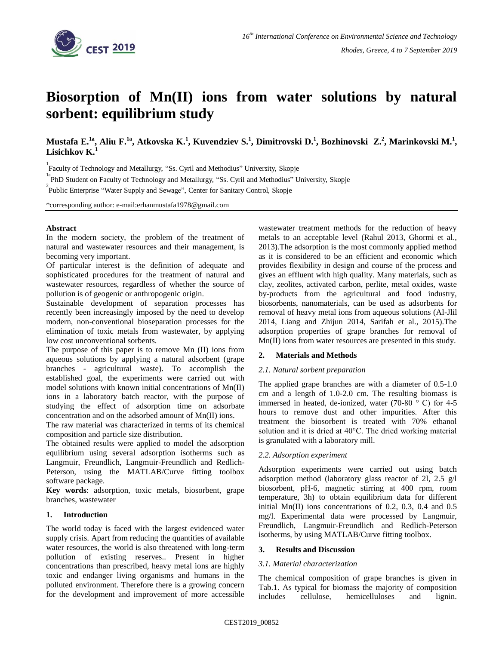

# **Biosorption of Mn(II) ions from water solutions by natural sorbent: equilibrium study**

Mustafa E.<sup>1a</sup>, Aliu F.<sup>1a</sup>, Atkovska K.<sup>1</sup>, Kuvendziev S.<sup>1</sup>, Dimitrovski D.<sup>1</sup>, Bozhinovski Z.<sup>2</sup>, Marinkovski M.<sup>1</sup>,<br>Lisiebkov K.<sup>1</sup> **Lisichkov K.**

<sup>1</sup><br>Faculty of Technology and Metallurgy, "Ss. Cyril and Methodius" University, Skopje

<sup>1a</sup><br>
<sup>2</sup>PhD Student on Faculty of Technology and Metallurgy, "Ss. Cyril and Methodius" University, Skopje

Public Enterprise "Water Supply and Sewage", Center for Sanitary Control, Skopje

\*corresponding author: e-mail:erhanmustafa1978@gmail.com

## **Abstract**

In the modern society, the problem of the treatment of natural and wastewater resources and their management, is becoming very important.

Of particular interest is the definition of adequate and sophisticated procedures for the treatment of natural and wastewater resources, regardless of whether the source of pollution is of geogenic or anthropogenic origin.

Sustainable development of separation processes has recently been increasingly imposed by the need to develop modern, non-conventional bioseparation processes for the elimination of toxic metals from wastewater, by applying low cost unconventional sorbents.

The purpose of this paper is to remove Mn (II) ions from aqueous solutions by applying a natural adsorbent (grape branches - agricultural waste). To accomplish the established goal, the experiments were carried out with model solutions with known initial concentrations of Mn(II) ions in a laboratory batch reactor, with the purpose of studying the effect of adsorption time on adsorbate concentration and on the adsorbed amount of Mn(II) ions.

The raw material was characterized in terms of its chemical composition and particle size distribution.

The obtained results were applied to model the adsorption equilibrium using several adsorption isotherms such as Langmuir, Freundlich, Langmuir-Freundlich and Redlich-Peterson, using the MATLAB/Curve fitting toolbox software package.

**Key words**: adsorption, toxic metals, biosorbent, grape branches, wastewater

## **1. Introduction**

The world today is faced with the largest evidenced water supply crisis. Apart from reducing the quantities of available water resources, the world is also threatened with long-term pollution of existing reserves.. Present in higher concentrations than prescribed, heavy metal ions are highly toxic and endanger living organisms and humans in the polluted environment. Therefore there is a growing concern for the development and improvement of more accessible

wastewater treatment methods for the reduction of heavy metals to an acceptable level (Rahul 2013, Ghormi et al., 2013).The adsorption is the most commonly applied method as it is considered to be an efficient and economic which provides flexibility in design and course of the process and gives an effluent with high quality. Many materials, such as clay, zeolites, activated carbon, perlite, metal oxides, waste by-products from the agricultural and food industry, biosorbents, nanomaterials, can be used as adsorbents for removal of heavy metal ions from aqueous solutions (Al-Jlil 2014, Liang and Zhijun 2014, Sarifah et al., 2015).The adsorption properties of grape branches for removal of Mn(II) ions from water resources are presented in this study.

## **2. Materials and Methods**

#### *2.1. Natural sorbent preparation*

The applied grape branches are with a diameter of 0.5-1.0 cm and a length of 1.0-2.0 cm. The resulting biomass is immersed in heated, de-ionized, water (70-80 ° C) for 4-5 hours to remove dust and other impurities. After this treatment the biosorbent is treated with 70% ethanol solution and it is dried at 40°C. The dried working material is granulated with a laboratory mill.

## *2.2. Adsorption experiment*

Adsorption experiments were carried out using batch adsorption method (laboratory glass reactor of 2l, 2.5 g/l biosorbent, pH-6, magnetic stirring at 400 rpm, room temperature, 3h) to obtain equilibrium data for different initial Mn(II) ions concentrations of 0.2, 0.3, 0.4 and 0.5 mg/l. Experimental data were processed by Langmuir, Freundlich, Langmuir-Freundlich and Redlich-Peterson isotherms, by using MATLAB/Curve fitting toolbox.

#### **3. Results and Discussion**

#### *3.1. Material characterization*

The chemical composition of grape branches is given in Tab.1. As typical for biomass the majority of composition includes cellulose, hemicelluloses and lignin.